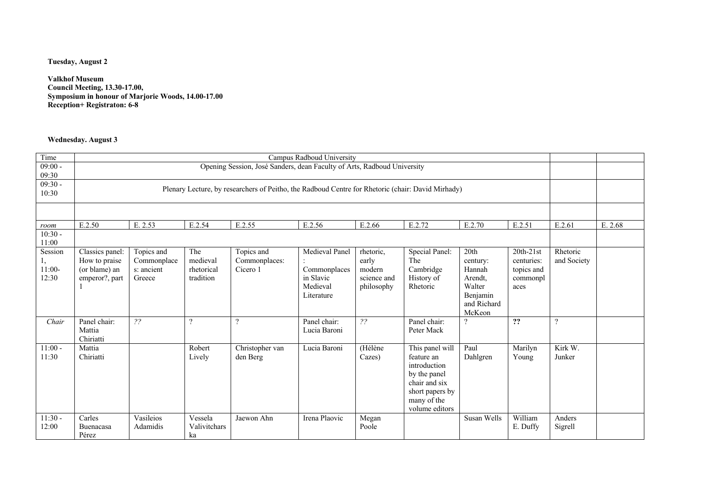## **Tuesday, August 2**

**Valkhof Museum Council Meeting, 13.30-17.00, Symposium in honour of Marjorie Woods, 14.00-17.00 Reception+ Registraton: 6-8**

## **Wednesday. August 3**

| Time      |                 |                |                |                                                                                                   | Campus Radboud University |                |                 |                       |                |                          |         |
|-----------|-----------------|----------------|----------------|---------------------------------------------------------------------------------------------------|---------------------------|----------------|-----------------|-----------------------|----------------|--------------------------|---------|
| $09:00 -$ |                 |                |                | Opening Session, José Sanders, dean Faculty of Arts, Radboud University                           |                           |                |                 |                       |                |                          |         |
| 09:30     |                 |                |                |                                                                                                   |                           |                |                 |                       |                |                          |         |
| $09:30 -$ |                 |                |                | Plenary Lecture, by researchers of Peitho, the Radboud Centre for Rhetoric (chair: David Mirhady) |                           |                |                 |                       |                |                          |         |
| 10:30     |                 |                |                |                                                                                                   |                           |                |                 |                       |                |                          |         |
|           |                 |                |                |                                                                                                   |                           |                |                 |                       |                |                          |         |
|           |                 |                |                |                                                                                                   |                           |                |                 |                       |                |                          |         |
| room      | E.2.50          | E. 2.53        | E.2.54         | E.2.55                                                                                            | E.2.56                    | E.2.66         | E.2.72          | E.2.70                | E.2.51         | E.2.61                   | E. 2.68 |
| $10:30 -$ |                 |                |                |                                                                                                   |                           |                |                 |                       |                |                          |         |
| 11:00     |                 |                |                |                                                                                                   |                           |                |                 |                       |                |                          |         |
| Session   | Classics panel: | Topics and     | The            | Topics and                                                                                        | Medieval Panel            | rhetoric,      | Special Panel:  | 20th                  | $20th-21st$    | Rhetoric                 |         |
|           | How to praise   | Commonplace    | medieval       | Commonplaces:                                                                                     |                           | early          | The             | century:              | centuries:     | and Society              |         |
| $11:00-$  | (or blame) an   | s: ancient     | rhetorical     | Cicero 1                                                                                          | Commonplaces              | modern         | Cambridge       | Hannah                | topics and     |                          |         |
| 12:30     | emperor?, part  | Greece         | tradition      |                                                                                                   | in Slavic                 | science and    | History of      | Arendt,               | commonpl       |                          |         |
|           |                 |                |                |                                                                                                   | Medieval                  | philosophy     | Rhetoric        | Walter                | aces           |                          |         |
|           |                 |                |                |                                                                                                   | Literature                |                |                 | Benjamin              |                |                          |         |
|           |                 |                |                |                                                                                                   |                           |                |                 | and Richard<br>McKeon |                |                          |         |
| Chair     | Panel chair:    | $\overline{?}$ | $\overline{?}$ | $\gamma$                                                                                          | Panel chair:              | $\overline{?}$ | Panel chair:    | $\gamma$              | $\overline{?}$ | $\overline{\mathcal{L}}$ |         |
|           | Mattia          |                |                |                                                                                                   | Lucia Baroni              |                | Peter Mack      |                       |                |                          |         |
|           | Chiriatti       |                |                |                                                                                                   |                           |                |                 |                       |                |                          |         |
| $11:00 -$ | Mattia          |                | Robert         | Christopher van                                                                                   | Lucia Baroni              | (Hélène        | This panel will | Paul                  | Marilyn        | Kirk W.                  |         |
| 11:30     | Chiriatti       |                | Lively         | den Berg                                                                                          |                           | Cazes)         | feature an      | Dahlgren              | Young          | Junker                   |         |
|           |                 |                |                |                                                                                                   |                           |                | introduction    |                       |                |                          |         |
|           |                 |                |                |                                                                                                   |                           |                | by the panel    |                       |                |                          |         |
|           |                 |                |                |                                                                                                   |                           |                | chair and six   |                       |                |                          |         |
|           |                 |                |                |                                                                                                   |                           |                | short papers by |                       |                |                          |         |
|           |                 |                |                |                                                                                                   |                           |                | many of the     |                       |                |                          |         |
|           |                 |                |                |                                                                                                   |                           |                | volume editors  |                       |                |                          |         |
| $11:30 -$ | Carles          | Vasileios      | Vessela        | Jaewon Ahn                                                                                        | Irena Plaovic             | Megan          |                 | Susan Wells           | William        | Anders                   |         |
| 12:00     | Buenacasa       | Adamidis       | Valivitchars   |                                                                                                   |                           | Poole          |                 |                       | E. Duffy       | Sigrell                  |         |
|           | Pérez           |                | ka             |                                                                                                   |                           |                |                 |                       |                |                          |         |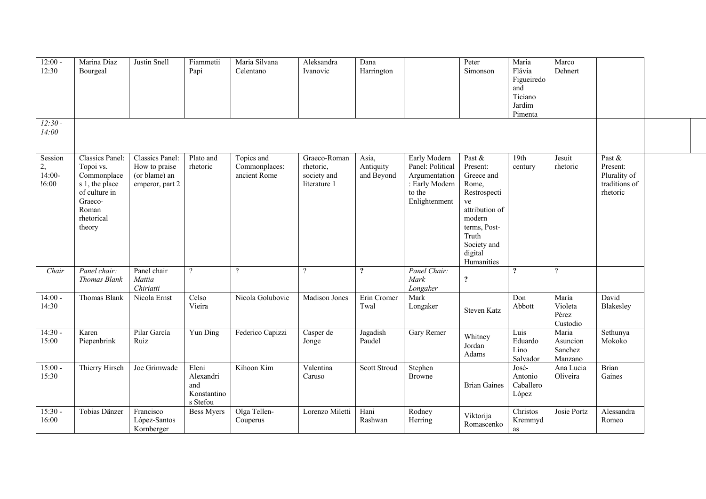| $12:00 -$<br>12:30                 | Marina Díaz<br>Bourgeal                                                                                                    | Justin Snell                                                         | Fiammetii<br>Papi                                    | Maria Silvana<br>Celentano                  | Aleksandra<br>Ivanovic                                   | Dana<br>Harrington               |                                                                                                | Peter<br>Simonson                                                                                                                                            | Maria<br>Flávia<br>Figueiredo<br>and<br>Ticiano<br>Jardim<br>Pimenta | Marco<br>Dehnert                        |                                                                 |  |
|------------------------------------|----------------------------------------------------------------------------------------------------------------------------|----------------------------------------------------------------------|------------------------------------------------------|---------------------------------------------|----------------------------------------------------------|----------------------------------|------------------------------------------------------------------------------------------------|--------------------------------------------------------------------------------------------------------------------------------------------------------------|----------------------------------------------------------------------|-----------------------------------------|-----------------------------------------------------------------|--|
| $12:30-$<br>14:00                  |                                                                                                                            |                                                                      |                                                      |                                             |                                                          |                                  |                                                                                                |                                                                                                                                                              |                                                                      |                                         |                                                                 |  |
| Session<br>2,<br>$14:00-$<br>!6:00 | Classics Panel:<br>Topoi vs.<br>Commonplace<br>s 1, the place<br>of culture in<br>Graeco-<br>Roman<br>rhetorical<br>theory | Classics Panel:<br>How to praise<br>(or blame) an<br>emperor, part 2 | Plato and<br>rhetoric                                | Topics and<br>Commonplaces:<br>ancient Rome | Graeco-Roman<br>rhetoric,<br>society and<br>literature 1 | Asia,<br>Antiquity<br>and Beyond | Early Modern<br>Panel: Political<br>Argumentation<br>: Early Modern<br>to the<br>Enlightenment | Past &<br>Present:<br>Greece and<br>Rome,<br>Restrospecti<br>ve<br>attribution of<br>modern<br>terms, Post-<br>Truth<br>Society and<br>digital<br>Humanities | 19th<br>century                                                      | Jesuit<br>rhetoric                      | Past &<br>Present:<br>Plurality of<br>traditions of<br>rhetoric |  |
| Chair                              | Panel chair:<br>Thomas Blank                                                                                               | Panel chair<br>Mattia<br>Chiriatti                                   | $\overline{?}$                                       | $\overline{\mathcal{L}}$                    | $\overline{?}$                                           | $\ddot{?}$                       | Panel Chair:<br>Mark<br>Longaker                                                               | $\ddot{\mathbf{c}}$                                                                                                                                          | $\overline{?}$                                                       | $\overline{?}$                          |                                                                 |  |
| $14:00 -$<br>14:30                 | Thomas Blank                                                                                                               | Nicola Ernst                                                         | Celso<br>Vieira                                      | Nicola Golubovic                            | Madison Jones                                            | Erin Cromer<br>Twal              | Mark<br>Longaker                                                                               | Steven Katz                                                                                                                                                  | Don<br>Abbott                                                        | María<br>Violeta<br>Pérez<br>Custodio   | David<br>Blakesley                                              |  |
| $14:30 -$<br>15:00                 | Karen<br>Piepenbrink                                                                                                       | Pilar García<br>Ruiz                                                 | $\overline{Y}$ un Ding                               | Federico Capizzi                            | Casper de<br>Jonge                                       | Jagadish<br>Paudel               | Gary Remer                                                                                     | Whitney<br>Jordan<br>Adams                                                                                                                                   | Luis<br>Eduardo<br>Lino<br>Salvador                                  | Maria<br>Asuncion<br>Sanchez<br>Manzano | Sethunya<br>Mokoko                                              |  |
| $15:00 -$<br>15:30                 | Thierry Hirsch                                                                                                             | Joe Grimwade                                                         | Eleni<br>Alexandri<br>and<br>Konstantino<br>s Stefou | Kihoon Kim                                  | $\overline{\text{Valentina}}$<br>Caruso                  | Scott Stroud                     | Stephen<br>Browne                                                                              | <b>Brian Gaines</b>                                                                                                                                          | José-<br>Antonio<br>Caballero<br>López                               | Ana Lucia<br>Oliveira                   | <b>Brian</b><br>Gaines                                          |  |
| $15:30 -$<br>16:00                 | Tobias Dänzer                                                                                                              | Francisco<br>López-Santos<br>Kornberger                              | <b>Bess Myers</b>                                    | Olga Tellen-<br>Couperus                    | Lorenzo Miletti                                          | Hani<br>Rashwan                  | Rodney<br>Herring                                                                              | Viktorija<br>Romascenko                                                                                                                                      | Christos<br>Kremmyd<br>as                                            | Josie Portz                             | Alessandra<br>Romeo                                             |  |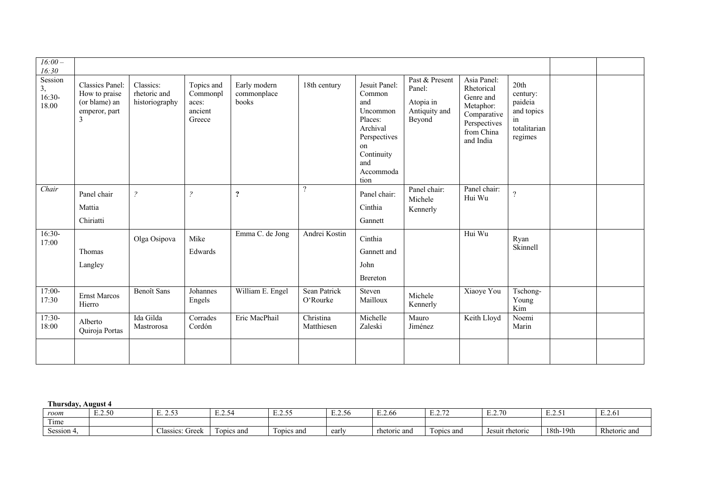| $16:00-$                        |                                                                         |                                             |                                                      |                                      |                          |                                                                                                                                   |                                                                  |                                                                                                               |                                                                            |  |
|---------------------------------|-------------------------------------------------------------------------|---------------------------------------------|------------------------------------------------------|--------------------------------------|--------------------------|-----------------------------------------------------------------------------------------------------------------------------------|------------------------------------------------------------------|---------------------------------------------------------------------------------------------------------------|----------------------------------------------------------------------------|--|
| 16:30                           |                                                                         |                                             |                                                      |                                      |                          |                                                                                                                                   |                                                                  |                                                                                                               |                                                                            |  |
| Session<br>$3, 16:30-$<br>18.00 | Classics Panel:<br>How to praise<br>(or blame) an<br>emperor, part<br>3 | Classics:<br>rhetoric and<br>historiography | Topics and<br>Commonpl<br>aces:<br>ancient<br>Greece | Early modern<br>commonplace<br>books | 18th century             | Jesuit Panel:<br>Common<br>and<br>Uncommon<br>Places:<br>Archival<br>Perspectives<br>on<br>Continuity<br>and<br>Accommoda<br>tion | Past & Present<br>Panel:<br>Atopia in<br>Antiquity and<br>Beyond | Asia Panel:<br>Rhetorical<br>Genre and<br>Metaphor:<br>Comparative<br>Perspectives<br>from China<br>and India | 20th<br>century:<br>paideia<br>and topics<br>in<br>totalitarian<br>regimes |  |
| Chair                           | Panel chair<br>Mattia<br>Chiriatti                                      | $\tilde{?}$                                 | $\mathcal{P}$                                        | $\boldsymbol{?}$                     | $\overline{?}$           | Panel chair:<br>Cinthia<br>Gannett                                                                                                | Panel chair:<br>Michele<br>Kennerly                              | Panel chair:<br>Hui Wu                                                                                        | $\overline{?}$                                                             |  |
| $16:30-$<br>17:00               | Thomas<br>Langley                                                       | Olga Osipova                                | Mike<br>Edwards                                      | Emma C. de Jong                      | Andrei Kostin            | Cinthia<br>Gannett and<br>John<br>Brereton                                                                                        |                                                                  | Hui Wu                                                                                                        | Ryan<br>Skinnell                                                           |  |
| $17:00-$<br>17:30               | Ernst Marcos<br>Hierro                                                  | <b>Benoît</b> Sans                          | <b>Johannes</b><br>Engels                            | William E. Engel                     | Sean Patrick<br>O'Rourke | Steven<br>Mailloux                                                                                                                | Michele<br>Kennerly                                              | Xiaoye You                                                                                                    | Tschong-<br>Young<br>Kim                                                   |  |
| $17:30-$<br>18:00               | Alberto<br>Quiroja Portas                                               | Ida Gilda<br>Mastrorosa                     | $\overline{\text{Corrades}}$<br>Cordón               | Eric MacPhail                        | Christina<br>Matthiesen  | Michelle<br>Zaleski                                                                                                               | Mauro<br>Jiménez                                                 | Keith Lloyd                                                                                                   | Noemi<br>Marin                                                             |  |
|                                 |                                                                         |                                             |                                                      |                                      |                          |                                                                                                                                   |                                                                  |                                                                                                               |                                                                            |  |

**Thursday, August 4**

| room                       | $-.2.50$ | $\sim$ $\sim$<br>ر. د. ۲ | $\overline{\phantom{a}}$<br>A4<br>⊷⊷ | - - - -<br>⊷⊷ | $\sim$ $\sim$<br>- -<br>้รธ<br>ں ہے کہ س | $\mathbf{r}$ $\mathbf{r}$<br>E.Z.00 | $\sim$ $\sim$<br><i>.</i> | $\sim$ $\sim$<br>$^{\prime}$<br>. | $\sim$ $\sim$<br>⊷∠…… | $\blacksquare$<br>E.Z.6 |
|----------------------------|----------|--------------------------|--------------------------------------|---------------|------------------------------------------|-------------------------------------|---------------------------|-----------------------------------|-----------------------|-------------------------|
| $\sim$<br>1 <sub>ime</sub> |          |                          |                                      |               |                                          |                                     |                           |                                   |                       |                         |
| $\sim$<br>Session 4        |          | Greek<br>Aassics         | opics and                            | opics and     | early                                    | rhetoric and                        | Topics and                | Jesuit rhetoric                   | 18th-19th             | Rhetoric and            |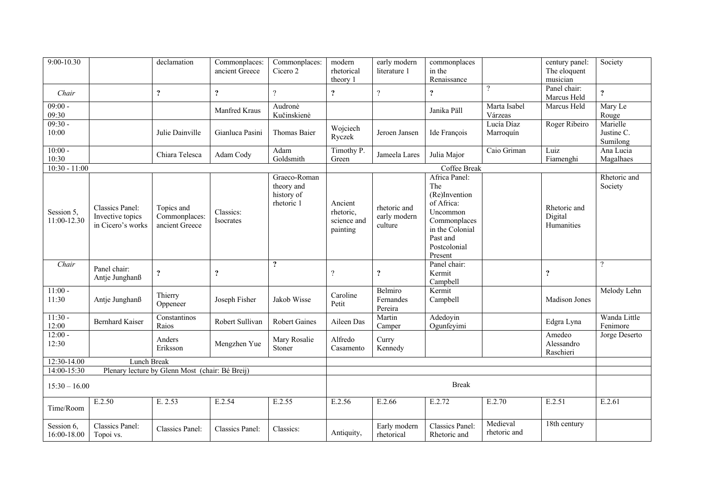| 9:00-10.30                |                                                          | declamation                                     | Commonplaces:<br>ancient Greece | Commonplaces:<br>Cicero 2                              | modern<br>rhetorical<br>theory 1                | early modern<br>literature 1            | commonplaces<br>in the<br>Renaissance                                                                                                     |                          | century panel:<br>The eloquent<br>musician | Society                            |
|---------------------------|----------------------------------------------------------|-------------------------------------------------|---------------------------------|--------------------------------------------------------|-------------------------------------------------|-----------------------------------------|-------------------------------------------------------------------------------------------------------------------------------------------|--------------------------|--------------------------------------------|------------------------------------|
| Chair                     |                                                          | $\boldsymbol{?}$                                | $\ddot{\mathbf{.}}$             | $\gamma$                                               | $\ddot{?}$                                      | $\overline{\cdot}$                      | $\boldsymbol{?}$                                                                                                                          | $\overline{\mathcal{L}}$ | Panel chair:<br>Marcus Held                | $\ddot{\mathbf{c}}$                |
| $09:00 -$<br>09:30        |                                                          |                                                 | Manfred Kraus                   | Audronė<br>Kučinskienė                                 |                                                 |                                         | Janika Päll                                                                                                                               | Marta Isabel<br>Várzeas  | Marcus Held                                | Mary Le<br>Rouge                   |
| $09:30 -$<br>10:00        |                                                          | Julie Dainville                                 | Gianluca Pasini                 | Thomas Baier                                           | Wojciech<br>Ryczek                              | Jeroen Jansen                           | Ide François                                                                                                                              | Lucía Díaz<br>Marroquín  | Roger Ribeiro                              | Marielle<br>Justine C.<br>Sumilong |
| $10:00 -$<br>10:30        |                                                          | Chiara Telesca                                  | Adam Cody                       | Adam<br>Goldsmith                                      | Timothy P.<br>Green                             | Jameela Lares                           | Julia Major                                                                                                                               | Caio Griman              | Luiz<br>Fiamenghi                          | Ana Lucia<br>Magalhaes             |
| $10:30 - 11:00$           |                                                          |                                                 |                                 |                                                        |                                                 |                                         | Coffee Break                                                                                                                              |                          |                                            |                                    |
| Session 5,<br>11:00-12.30 | Classics Panel:<br>Invective topics<br>in Cicero's works | Topics and<br>Commonplaces:<br>ancient Greece   | Classics:<br>Isocrates          | Graeco-Roman<br>theory and<br>history of<br>rhetoric 1 | Ancient<br>rhetoric,<br>science and<br>painting | rhetoric and<br>early modern<br>culture | Africa Panel:<br>The<br>(Re)Invention<br>of Africa:<br>Uncommon<br>Commonplaces<br>in the Colonial<br>Past and<br>Postcolonial<br>Present |                          | Rhetoric and<br>Digital<br>Humanities      | Rhetoric and<br>Society            |
| Chair                     | Panel chair:<br>Antje Junghanß                           | $\overline{\mathbf{?}}$                         | $\boldsymbol{?}$                | $\boldsymbol{?}$                                       | $\overline{\mathcal{L}}$                        | $\ddot{\cdot}$                          | Panel chair:<br>Kermit<br>Campbell                                                                                                        |                          | ?                                          | $\overline{?}$                     |
| $11:00 -$<br>11:30        | Antje Junghanß                                           | Thierry<br>Oppeneer                             | Joseph Fisher                   | Jakob Wisse                                            | Caroline<br>Petit                               | Belmiro<br>Fernandes<br>Pereira         | Kermit<br>Campbell                                                                                                                        |                          | Madison Jones                              | Melody Lehn                        |
| $11:30 -$<br>12:00        | <b>Bernhard Kaiser</b>                                   | Constantinos<br>Raios                           | Robert Sullivan                 | <b>Robert Gaines</b>                                   | Aileen Das                                      | Martin<br>Camper                        | Adedoyin<br>Ogunfeyimi                                                                                                                    |                          | Edgra Lyna                                 | Wanda Little<br>Fenimore           |
| $12:00 -$<br>12:30        |                                                          | Anders<br>Eriksson                              | Mengzhen Yue                    | Mary Rosalie<br>Stoner                                 | Alfredo<br>Casamento                            | Curry<br>Kennedy                        |                                                                                                                                           |                          | Amedeo<br>Alessandro<br>Raschieri          | Jorge Deserto                      |
| 12:30-14.00               | Lunch Break                                              |                                                 |                                 |                                                        |                                                 |                                         |                                                                                                                                           |                          |                                            |                                    |
| 14:00-15:30               |                                                          | Plenary lecture by Glenn Most (chair: Bé Breij) |                                 |                                                        |                                                 |                                         |                                                                                                                                           |                          |                                            |                                    |
| $15:30 - 16.00$           |                                                          |                                                 |                                 |                                                        |                                                 |                                         | <b>Break</b>                                                                                                                              |                          |                                            |                                    |
| Time/Room                 | E.2.50                                                   | E. 2.53                                         | E.2.54                          | E.2.55                                                 | E.2.56                                          | E.2.66                                  | E.2.72                                                                                                                                    | E.2.70                   | E.2.51                                     | E.2.61                             |
| Session 6,<br>16:00-18.00 | Classics Panel:<br>Topoi vs.                             | <b>Classics Panel:</b>                          | Classics Panel:                 | Classics:                                              | Antiquity,                                      | Early modern<br>rhetorical              | Classics Panel:<br>Rhetoric and                                                                                                           | Medieval<br>rhetoric and | 18th century                               |                                    |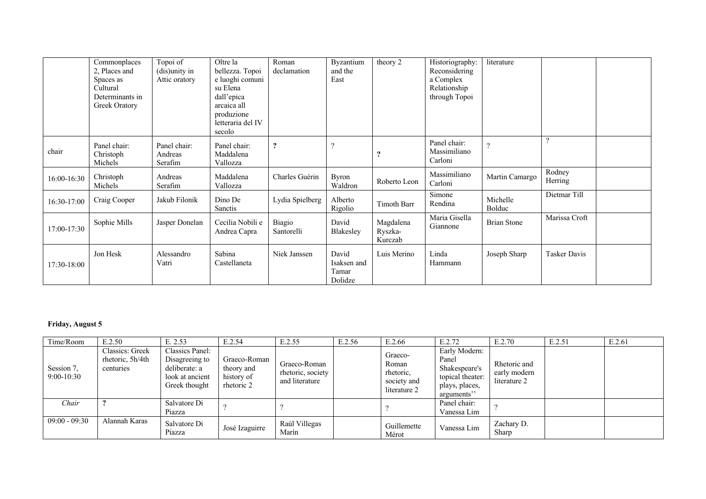|             | Commonplaces<br>2, Places and<br>Spaces as<br>Cultural<br>Determinants in<br>Greek Oratory | Topoi of<br>(dis)unity in<br>Attic oratory | Oltre la<br>bellezza. Topoi<br>e luoghi comuni<br>su Elena<br>dall'epica<br>arcaica all<br>produzione<br>letteraria del IV<br>secolo | Roman<br>declamation | Byzantium<br>and the<br>East             | theory 2                        | Historiography:<br>Reconsidering<br>a Complex<br>Relationship<br>through Topoi | literature         |                   |  |
|-------------|--------------------------------------------------------------------------------------------|--------------------------------------------|--------------------------------------------------------------------------------------------------------------------------------------|----------------------|------------------------------------------|---------------------------------|--------------------------------------------------------------------------------|--------------------|-------------------|--|
| chair       | Panel chair:<br>Christoph<br>Michels                                                       | Panel chair:<br>Andreas<br>Serafim         | Panel chair:<br>Maddalena<br>Vallozza                                                                                                | $\boldsymbol{?}$     | $\overline{\cdot}$                       | 9                               | Panel chair:<br>Massimiliano<br>Carloni                                        | $\gamma$           | $\overline{?}$    |  |
| 16:00-16:30 | Christoph<br>Michels                                                                       | Andreas<br>Serafim                         | Maddalena<br>Vallozza                                                                                                                | Charles Guérin       | <b>Byron</b><br>Waldron                  | Roberto Leon                    | Massimiliano<br>Carloni                                                        | Martin Camargo     | Rodney<br>Herring |  |
| 16:30-17:00 | Craig Cooper                                                                               | Jakub Filonik                              | Dino De<br>Sanctis                                                                                                                   | Lydia Spielberg      | Alberto<br>Rigolio                       | Timoth Barr                     | Simone<br>Rendina                                                              | Michelle<br>Bolduc | Dietmar Till      |  |
| 17:00-17:30 | Sophie Mills                                                                               | Jasper Donelan                             | Cecilia Nobili e<br>Andrea Capra                                                                                                     | Biagio<br>Santorelli | David<br>Blakesley                       | Magdalena<br>Ryszka-<br>Kurczab | Maria Gisella<br>Giannone                                                      | <b>Brian Stone</b> | Marissa Croft     |  |
| 17:30-18:00 | Jon Hesk                                                                                   | Alessandro<br>Vatri                        | Sabina<br>Castellaneta                                                                                                               | Niek Janssen         | David<br>Isaksen and<br>Tamar<br>Dolidze | Luis Merino                     | Linda<br>Hammann                                                               | Joseph Sharp       | Tasker Davis      |  |

## **Friday, August 5**

| Time/Room                  | E.2.50                                           | E. 2.53                                                                                | E.2.54                                                 | E.2.55                                              | E.2.56 | E.2.66                                                       | E.2.72                                                                                      | E.2.70                                       | E.2.51 | E.2.61 |
|----------------------------|--------------------------------------------------|----------------------------------------------------------------------------------------|--------------------------------------------------------|-----------------------------------------------------|--------|--------------------------------------------------------------|---------------------------------------------------------------------------------------------|----------------------------------------------|--------|--------|
| Session 7,<br>$9:00-10:30$ | Classics: Greek<br>rhetoric, 5h/4th<br>centuries | Classics Panel:<br>Disagreeing to<br>deliberate: a<br>look at ancient<br>Greek thought | Graeco-Roman<br>theory and<br>history of<br>rhetoric 2 | Graeco-Roman<br>rhetoric, society<br>and literature |        | Graeco-<br>Roman<br>rhetoric,<br>society and<br>literature 2 | Early Modern:<br>Panel<br>Shakespeare's<br>topical theater:<br>plays, places,<br>arguments" | Rhetoric and<br>early modern<br>literature 2 |        |        |
| Chair                      |                                                  | Salvatore Di<br>Piazza                                                                 |                                                        |                                                     |        |                                                              | Panel chair:<br>Vanessa Lim                                                                 |                                              |        |        |
| $09:00 - 09:30$            | Alannah Karas                                    | Salvatore Di<br>Piazza                                                                 | José Izaguirre                                         | Raúl Villegas<br>Marín                              |        | Guillemette<br>Mérot                                         | Vanessa Lim                                                                                 | Zachary D.<br>Sharp                          |        |        |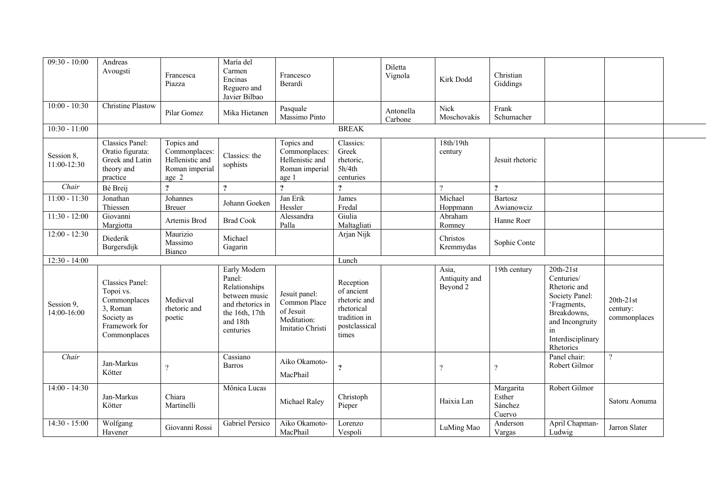| $09:30 - 10:00$             | Andreas<br>Avougsti                                                                                            | Francesca<br>Piazza                                                       | María del<br>Carmen<br>Encinas<br>Reguero and<br>Javier Bilbao                                                          | Francesco<br>Berardi                                                          |                                                                                                 | Diletta<br>Vignola   | Kirk Dodd                          | Christian<br>Giddings                    |                                                                                                                                                      |                                         |  |
|-----------------------------|----------------------------------------------------------------------------------------------------------------|---------------------------------------------------------------------------|-------------------------------------------------------------------------------------------------------------------------|-------------------------------------------------------------------------------|-------------------------------------------------------------------------------------------------|----------------------|------------------------------------|------------------------------------------|------------------------------------------------------------------------------------------------------------------------------------------------------|-----------------------------------------|--|
| $10:00 - 10:30$             | <b>Christine Plastow</b>                                                                                       | Pilar Gomez                                                               | Mika Hietanen                                                                                                           | Pasquale<br>Massimo Pinto                                                     |                                                                                                 | Antonella<br>Carbone | Nick<br>Moschovakis                | Frank<br>Schumacher                      |                                                                                                                                                      |                                         |  |
| $10:30 - 11:00$             |                                                                                                                |                                                                           |                                                                                                                         |                                                                               | <b>BREAK</b>                                                                                    |                      |                                    |                                          |                                                                                                                                                      |                                         |  |
| Session 8,<br>11:00-12:30   | Classics Panel:<br>Oratio figurata:<br>Greek and Latin<br>theory and<br>practice                               | Topics and<br>Commonplaces:<br>Hellenistic and<br>Roman imperial<br>age 2 | Classics: the<br>sophists                                                                                               | Topics and<br>Commonplaces:<br>Hellenistic and<br>Roman imperial<br>age 1     | Classics:<br>Greek<br>rhetoric,<br>5h/4th<br>centuries                                          |                      | 18th/19th<br>century               | Jesuit rhetoric                          |                                                                                                                                                      |                                         |  |
| Chair                       | Bé Breij                                                                                                       | $\overline{?}$                                                            | $\ddot{?}$                                                                                                              | $\overline{?}$                                                                | $\ddot{\mathbf{?}}$                                                                             |                      | $\gamma$                           | $\overline{?}$                           |                                                                                                                                                      |                                         |  |
| $11:00 - 11:30$             | Jonathan<br>Thiessen                                                                                           | Johannes<br><b>Breuer</b>                                                 | Johann Goeken                                                                                                           | Jan Erik<br>Hessler                                                           | James<br>Fredal                                                                                 |                      | Michael<br>Hoppmann                | Bartosz<br>Awianowciz                    |                                                                                                                                                      |                                         |  |
| $11:30 - 12:00$             | Giovanni<br>Margiotta                                                                                          | Artemis Brod                                                              | <b>Brad Cook</b>                                                                                                        | Alessandra<br>Palla                                                           | Giulia<br>Maltagliati                                                                           |                      | Abraham<br>Romney                  | Hanne Roer                               |                                                                                                                                                      |                                         |  |
| $12:00 - 12:30$             | Diederik<br>Burgersdijk                                                                                        | Maurizio<br>Massimo<br>Bianco                                             | Michael<br>Gagarin                                                                                                      |                                                                               | Arjan Nijk                                                                                      |                      | Christos<br>Kremmydas              | Sophie Conte                             |                                                                                                                                                      |                                         |  |
| $12:30 - 14:00$             |                                                                                                                |                                                                           |                                                                                                                         |                                                                               | Lunch                                                                                           |                      |                                    |                                          |                                                                                                                                                      |                                         |  |
| Session 9,<br>$14:00-16:00$ | <b>Classics Panel:</b><br>Topoi vs.<br>Commonplaces<br>3, Roman<br>Society as<br>Framework for<br>Commonplaces | Medieval<br>rhetoric and<br>poetic                                        | Early Modern<br>Panel:<br>Relationships<br>between music<br>and rhetorics in<br>the 16th, 17th<br>and 18th<br>centuries | Jesuit panel:<br>Common Place<br>of Jesuit<br>Meditation:<br>Imitatio Christi | Reception<br>of ancient<br>rhetoric and<br>rhetorical<br>tradition in<br>postclassical<br>times |                      | Asia.<br>Antiquity and<br>Beyond 2 | 19th century                             | $20th-21st$<br>Centuries/<br>Rhetoric and<br>Society Panel:<br>'Fragments,<br>Breakdowns,<br>and Incongruity<br>in<br>Interdisciplinary<br>Rhetorics | $20th-21st$<br>century:<br>commonplaces |  |
| Chair                       | Jan-Markus<br>Kötter                                                                                           | $\gamma$                                                                  | Cassiano<br><b>Barros</b>                                                                                               | Aiko Okamoto-<br>MacPhail                                                     | $\ddot{\cdot}$                                                                                  |                      | $\overline{\cdot}$                 | $\overline{\mathcal{L}}$                 | Panel chair:<br>Robert Gilmor                                                                                                                        | $\overline{?}$                          |  |
| $14:00 - 14:30$             | Jan-Markus<br>Kötter                                                                                           | Chiara<br>Martinelli                                                      | Mônica Lucas                                                                                                            | Michael Raley                                                                 | Christoph<br>Pieper                                                                             |                      | Haixia Lan                         | Margarita<br>Esther<br>Sánchez<br>Cuervo | Robert Gilmor                                                                                                                                        | Satoru Aonuma                           |  |
| $14:30 - 15:00$             | Wolfgang<br>Havener                                                                                            | Giovanni Rossi                                                            | Gabriel Persico                                                                                                         | Aiko Okamoto-<br>MacPhail                                                     | Lorenzo<br>Vespoli                                                                              |                      | LuMing Mao                         | Anderson<br>Vargas                       | April Chapman-<br>Ludwig                                                                                                                             | Jarron Slater                           |  |